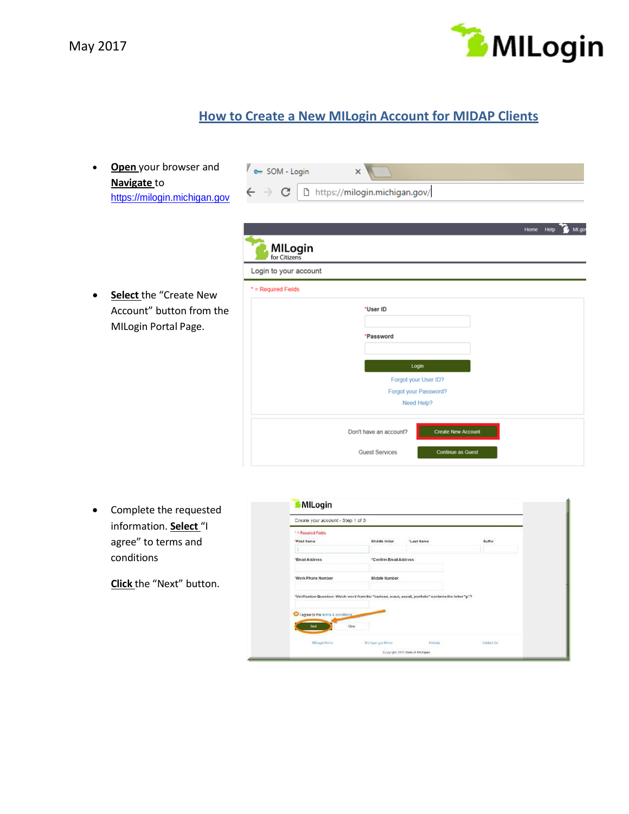



## **How to Create a New MILogin Account for MIDAP Clients**

 **Open** your browser and **Navigate** to [https://milogin.michigan.gov](https://milogintp.michigan.gov/)

|  | o <sub>m</sub> SOM - Login |                                                                                |
|--|----------------------------|--------------------------------------------------------------------------------|
|  |                            | $\leftarrow$ $\rightarrow$ $\mathbf{C}$   $\Box$ https://milogin.michigan.gov/ |

 **Select** the "Create New Account" button from the MILogin Portal Page.

| Login to your account |           |                       |  |  |
|-----------------------|-----------|-----------------------|--|--|
| $*$ = Required Fields |           |                       |  |  |
|                       | *User ID  |                       |  |  |
|                       | *Password |                       |  |  |
|                       |           | Login                 |  |  |
|                       |           | Forgot your User ID?  |  |  |
|                       |           | Forgot your Password? |  |  |
|                       |           | Need Help?            |  |  |

 Complete the requested information. **Select** "I agree" to terms and conditions

**Click** the "Next" button.

|                                    | Create your account - Step 1 of 3 |                                                                                                           |          |
|------------------------------------|-----------------------------------|-----------------------------------------------------------------------------------------------------------|----------|
| * = Required Fields                |                                   |                                                                                                           | 89000340 |
| "First Name                        | Middle Initial                    | "Last Name                                                                                                | Suffix   |
|                                    |                                   |                                                                                                           |          |
| "Email Address                     | "Confirm Email Address            |                                                                                                           |          |
| "Work Phone Number                 | Mobile Number                     |                                                                                                           |          |
|                                    |                                   |                                                                                                           |          |
|                                    |                                   | "Verification Question: Which word from list "carload, exact, assail, portfolio" contains the letter "p"? |          |
|                                    |                                   |                                                                                                           |          |
|                                    |                                   |                                                                                                           |          |
| I agree to the terms & conditions. |                                   |                                                                                                           |          |
| Next                               | Claar                             |                                                                                                           |          |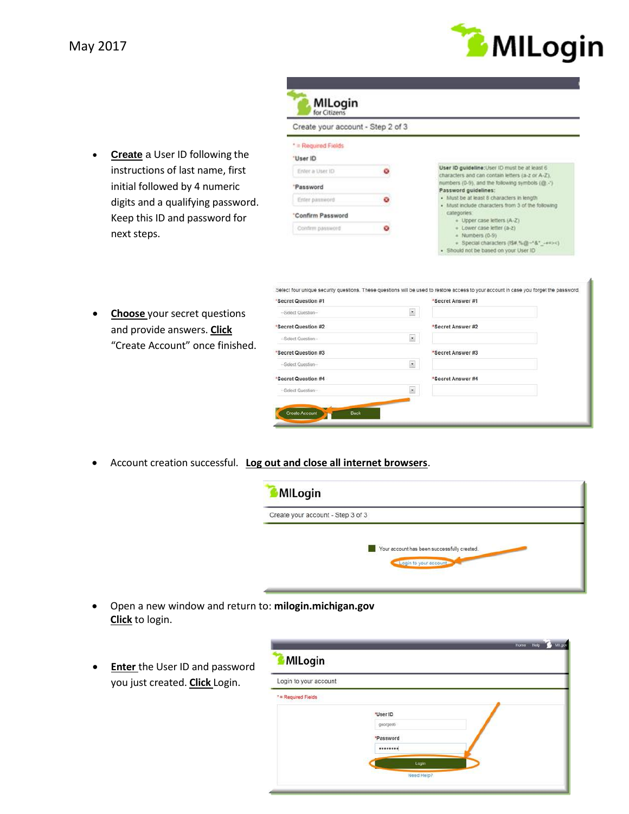

**Create** a User ID following the instructions of last name, first initial followed by 4 numeric digits and a qualifying password. Keep this ID and password for next steps.

| Create your account - Step 2 of 3 |                                                                                                                                                          |
|-----------------------------------|----------------------------------------------------------------------------------------------------------------------------------------------------------|
| * = Required Fields<br>'User ID   |                                                                                                                                                          |
| Enter a User ID                   | User ID guideline: User ID must be at least 6<br>characters and can contain letters (a-z or A-Z).                                                        |
| 'Password                         | numbers (0-9), and the following symbols (@.-')<br>Password guidelines:                                                                                  |
| Enter password                    | · Must be at least 8 characters in length<br>· Must include characters from 3 of the following                                                           |
| 'Confirm Password                 | categories:                                                                                                                                              |
| Confirm password                  | Upper case letters (A-Z)<br>· Lower case letter (a-2)<br>Numbers (0-9)<br>Special characters (IS#,%@~'&" -+=><)<br>· Should not be based on your User ID |

 **Choose** your secret questions and provide answers. **Click** "Create Account" once finished.

| $\ddot{\phantom{0}}$<br>-Select Question-   |                   |
|---------------------------------------------|-------------------|
|                                             |                   |
| *Secret Question #2                         | *Secret Answer #2 |
| ×<br>-Select Question-                      |                   |
| *Secret Question #3                         | *Secret Answer #3 |
| $\ddot{\phantom{0}}$<br>-- Select Question- |                   |
| *Secret Question #4                         | *Secret Answer #4 |
| $\bullet$<br>-Select Question-              |                   |

Account creation successful. **Log out and close all internet browsers**.

| Create your account - Step 3 of 3 |                                             |  |
|-----------------------------------|---------------------------------------------|--|
|                                   |                                             |  |
|                                   | Your account has been successfully created. |  |
|                                   | Login to your account                       |  |

- Open a new window and return to: **milogin.michigan.gov Click** to login.
- **Enter** the User ID and password you just created. **Click** Login.

| Login to your account |                       |  |
|-----------------------|-----------------------|--|
| * = Required Fields   |                       |  |
|                       | "User ID<br>georges6  |  |
|                       | *Password<br>******** |  |
|                       | Login                 |  |